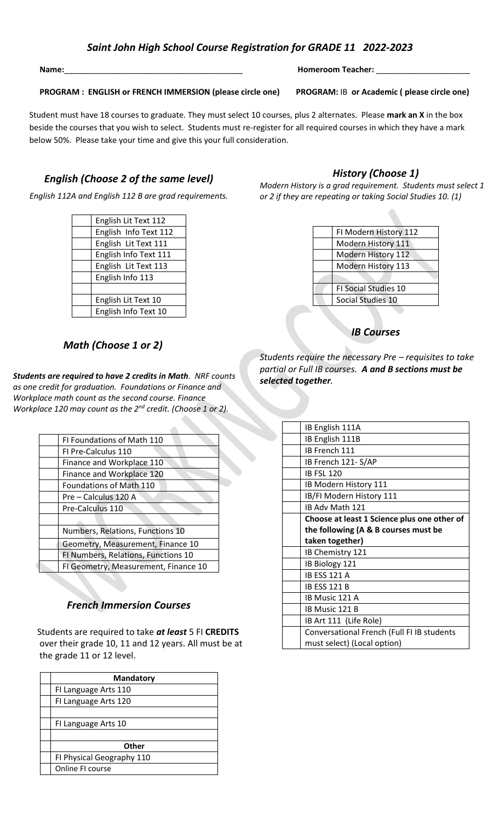## *Saint John High School Course Registration for GRADE 11 2022-2023*

**PROGRAM : ENGLISH or FRENCH IMMERSION (please circle one) PROGRAM:** IB **or Academic ( please circle one)**

below 50%. Please take your time and give this your full consideration.<br> Student must have 18 courses to graduate. They must select 10 courses, plus 2 alternates. Please mark an X in the box beside the courses that you wish to select. Students must re-register for all required courses in which they have a mark

# *English (Choose 2 of the same level)*

*English 112A and English 112 B are grad requirements.*

| English Lit Text 112  |
|-----------------------|
| English Info Text 112 |
| English Lit Text 111  |
| English Info Text 111 |
| English Lit Text 113  |
| English Info 113      |
|                       |
| English Lit Text 10   |
| English Info Text 10  |

## *Math (Choose 1 or 2)*

*Students are required to have 2 credits in Math. NRF counts as one credit for graduation. Foundations or Finance and Workplace math count as the second course. Finance Workplace 120 may count as the 2nd credit. (Choose 1 or 2).* 

 $\overline{\phantom{a}}$ 

| FI Foundations of Math 110           |
|--------------------------------------|
| FI Pre-Calculus 110                  |
| Finance and Workplace 110            |
| Finance and Workplace 120            |
| Foundations of Math 110              |
| Pre – Calculus 120 A                 |
| Pre-Calculus 110                     |
|                                      |
| Numbers, Relations, Functions 10     |
| Geometry, Measurement, Finance 10    |
| FI Numbers, Relations, Functions 10  |
| FI Geometry, Measurement, Finance 10 |
|                                      |

## *French Immersion Courses*

Students are required to take *at least* 5 FI **CREDITS** over their grade 10, 11 and 12 years. All must be at the grade 11 or 12 level.

| <b>Mandatory</b>          |
|---------------------------|
| FI Language Arts 110      |
| FI Language Arts 120      |
|                           |
| FI Language Arts 10       |
|                           |
| Other                     |
| FI Physical Geography 110 |
| Online FI course          |

### *History (Choose 1)*

*Modern History is a grad requirement. Students must select 1 or 2 if they are repeating or taking Social Studies 10. (1)*

| FI Modern History 112       |
|-----------------------------|
| Modern History 111          |
| Modern History 112          |
| Modern History 113          |
|                             |
| <b>FI Social Studies 10</b> |
| Social Studies 10           |
|                             |

*IB Courses*

*Students require the necessary Pre – requisites to take partial or Full IB courses. A and B sections must be selected together.*

| IB English 111A                             |
|---------------------------------------------|
| IB English 111B                             |
| IB French 111                               |
| IB French 121-S/AP                          |
| <b>IB FSL 120</b>                           |
| IB Modern History 111                       |
| IB/FI Modern History 111                    |
| IB Adv Math 121                             |
| Choose at least 1 Science plus one other of |
| the following (A & B courses must be        |
|                                             |
| taken together)                             |
| IB Chemistry 121                            |
| IB Biology 121                              |
| <b>IB ESS 121 A</b>                         |
| <b>IB ESS 121 B</b>                         |
| IB Music 121 A                              |
| IB Music 121 B                              |
| IB Art 111 (Life Role)                      |
| Conversational French (Full FI IB students  |
| must select) (Local option)                 |

#### **Name:**\_\_\_\_\_\_\_\_\_\_\_\_\_\_\_\_\_\_\_\_\_\_\_\_\_\_\_\_\_\_\_\_\_\_\_\_\_\_\_\_ **Homeroom Teacher:** \_\_\_\_\_\_\_\_\_\_\_\_\_\_\_\_\_\_\_\_\_